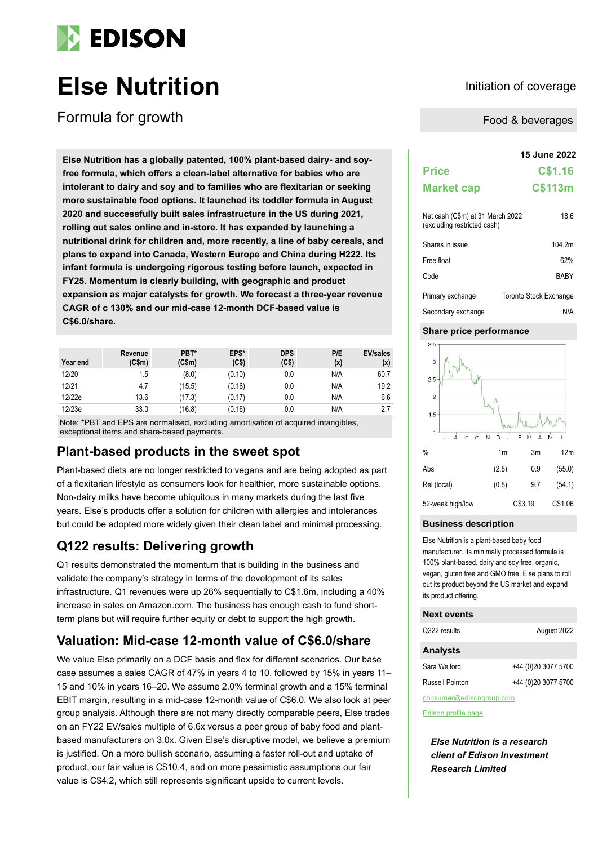

# **Else Nutrition Initiation Initiation of coverage**

Formula for growth

**15 June 2022 Else Nutrition has a globally patented, 100% plant-based dairy- and soyfree formula, which offers a clean-label alternative for babies who are intolerant to dairy and soy and to families who are flexitarian or seeking more sustainable food options. It launched its toddler formula in August 2020 and successfully built sales infrastructure in the US during 2021, rolling out sales online and in-store. It has expanded by launching a nutritional drink for children and, more recently, a line of baby cereals, and plans to expand into Canada, Western Europe and China during H222. Its infant formula is undergoing rigorous testing before launch, expected in FY25. Momentum is clearly building, with geographic and product expansion as major catalysts for growth. We forecast a three-year revenue CAGR of c 130% and our mid-case 12-month DCF-based value is C\$6.0/share.**

| Year end | Revenue<br>(C\$m) | PBT*<br>(C\$m) | EPS*<br>(C\$) | <b>DPS</b><br>(C <sub>5</sub> ) | P/E<br>(x) | <b>EV/sales</b><br>(x) |
|----------|-------------------|----------------|---------------|---------------------------------|------------|------------------------|
| 12/20    | 1.5               | (8.0)          | (0.10)        | 0.0                             | N/A        | 60.7                   |
| 12/21    | 4.7               | (15.5)         | (0.16)        | 0.0                             | N/A        | 19.2                   |
| 12/22e   | 13.6              | (17.3)         | (0.17)        | 0.0                             | N/A        | 6.6                    |
| 12/23e   | 33.0              | (16.8)         | (0.16)        | 0.0                             | N/A        | 2.7                    |

Note: \*PBT and EPS are normalised, excluding amortisation of acquired intangibles, exceptional items and share-based payments.

### **Plant-based products in the sweet spot**

Plant-based diets are no longer restricted to vegans and are being adopted as part of a flexitarian lifestyle as consumers look for healthier, more sustainable options. Non-dairy milks have become ubiquitous in many markets during the last five years. Else's products offer a solution for children with allergies and intolerances but could be adopted more widely given their clean label and minimal processing.

### **Q122 results: Delivering growth**

Q1 results demonstrated the momentum that is building in the business and validate the company's strategy in terms of the development of its sales infrastructure. Q1 revenues were up 26% sequentially to C\$1.6m, including a 40% increase in sales on Amazon.com. The business has enough cash to fund shortterm plans but will require further equity or debt to support the high growth.

### **Valuation: Mid-case 12-month value of C\$6.0/share**

We value Else primarily on a DCF basis and flex for different scenarios. Our base case assumes a sales CAGR of 47% in years 4 to 10, followed by 15% in years 11– 15 and 10% in years 16–20. We assume 2.0% terminal growth and a 15% terminal EBIT margin, resulting in a mid-case 12-month value of C\$6.0. We also look at peer group analysis. Although there are not many directly comparable peers, Else trades on an FY22 EV/sales multiple of 6.6x versus a peer group of baby food and plantbased manufacturers on 3.0x. Given Else's disruptive model, we believe a premium is justified. On a more bullish scenario, assuming a faster roll-out and uptake of product, our fair value is C\$10.4, and on more pessimistic assumptions our fair value is C\$4.2, which still represents significant upside to current levels.

Food & beverages

| <b>Price</b>                                                    | C\$1.16     |
|-----------------------------------------------------------------|-------------|
| <b>Market cap</b>                                               | C\$113m     |
| Net cash (C\$m) at 31 March 2022<br>(excluding restricted cash) | 18.6        |
| Shares in issue                                                 | 104.2m      |
| Free float                                                      | 62%         |
| $\mathbf{A}$ . $\mathbf{A}$ .                                   | <b>DADV</b> |

| Code               | <b>BARY</b>            |
|--------------------|------------------------|
| Primary exchange   | Toronto Stock Exchange |
| Secondary exchange | N/A                    |

#### **Share price performance**



#### **Business description**

Else Nutrition is a plant-based baby food manufacturer. Its minimally processed formula is 100% plant-based, dairy and soy free, organic, vegan, gluten free and GMO free. Else plans to roll out its product beyond the US market and expand its product offering.

#### **Next events**

| Q222 results    | August 2022         |
|-----------------|---------------------|
| <b>Analysts</b> |                     |
| Sara Welford    | +44 (0)20 3077 5700 |
| Russell Pointon | +44 (0)20 3077 5700 |

consumer@edisongroup.com

[Edison profile page](https://www.edisongroup.com/company/else-nutrition)

*Else Nutrition is a research client of Edison Investment Research Limited*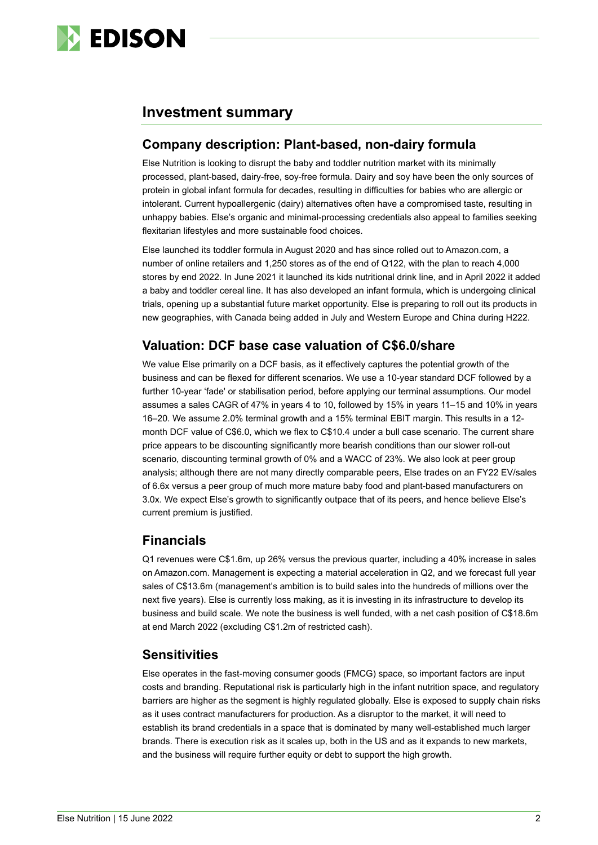

### **Investment summary**

### **Company description: Plant-based, non-dairy formula**

Else Nutrition is looking to disrupt the baby and toddler nutrition market with its minimally processed, plant-based, dairy-free, soy-free formula. Dairy and soy have been the only sources of protein in global infant formula for decades, resulting in difficulties for babies who are allergic or intolerant. Current hypoallergenic (dairy) alternatives often have a compromised taste, resulting in unhappy babies. Else's organic and minimal-processing credentials also appeal to families seeking flexitarian lifestyles and more sustainable food choices.

Else launched its toddler formula in August 2020 and has since rolled out to Amazon.com, a number of online retailers and 1,250 stores as of the end of Q122, with the plan to reach 4,000 stores by end 2022. In June 2021 it launched its kids nutritional drink line, and in April 2022 it added a baby and toddler cereal line. It has also developed an infant formula, which is undergoing clinical trials, opening up a substantial future market opportunity. Else is preparing to roll out its products in new geographies, with Canada being added in July and Western Europe and China during H222.

### **Valuation: DCF base case valuation of C\$6.0/share**

We value Else primarily on a DCF basis, as it effectively captures the potential growth of the business and can be flexed for different scenarios. We use a 10-year standard DCF followed by a further 10-year 'fade' or stabilisation period, before applying our terminal assumptions. Our model assumes a sales CAGR of 47% in years 4 to 10, followed by 15% in years 11–15 and 10% in years 16–20. We assume 2.0% terminal growth and a 15% terminal EBIT margin. This results in a 12 month DCF value of C\$6.0, which we flex to C\$10.4 under a bull case scenario. The current share price appears to be discounting significantly more bearish conditions than our slower roll-out scenario, discounting terminal growth of 0% and a WACC of 23%. We also look at peer group analysis; although there are not many directly comparable peers, Else trades on an FY22 EV/sales of 6.6x versus a peer group of much more mature baby food and plant-based manufacturers on 3.0x. We expect Else's growth to significantly outpace that of its peers, and hence believe Else's current premium is justified.

### **Financials**

Q1 revenues were C\$1.6m, up 26% versus the previous quarter, including a 40% increase in sales on Amazon.com. Management is expecting a material acceleration in Q2, and we forecast full year sales of C\$13.6m (management's ambition is to build sales into the hundreds of millions over the next five years). Else is currently loss making, as it is investing in its infrastructure to develop its business and build scale. We note the business is well funded, with a net cash position of C\$18.6m at end March 2022 (excluding C\$1.2m of restricted cash).

### **Sensitivities**

Else operates in the fast-moving consumer goods (FMCG) space, so important factors are input costs and branding. Reputational risk is particularly high in the infant nutrition space, and regulatory barriers are higher as the segment is highly regulated globally. Else is exposed to supply chain risks as it uses contract manufacturers for production. As a disruptor to the market, it will need to establish its brand credentials in a space that is dominated by many well-established much larger brands. There is execution risk as it scales up, both in the US and as it expands to new markets, and the business will require further equity or debt to support the high growth.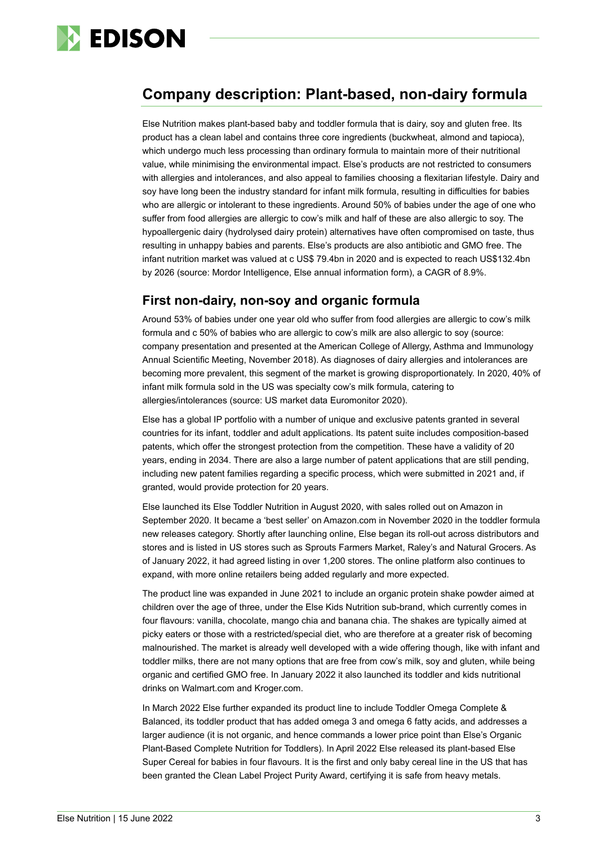

## **Company description: Plant-based, non-dairy formula**

Else Nutrition makes plant-based baby and toddler formula that is dairy, soy and gluten free. Its product has a clean label and contains three core ingredients (buckwheat, almond and tapioca), which undergo much less processing than ordinary formula to maintain more of their nutritional value, while minimising the environmental impact. Else's products are not restricted to consumers with allergies and intolerances, and also appeal to families choosing a flexitarian lifestyle. Dairy and soy have long been the industry standard for infant milk formula, resulting in difficulties for babies who are allergic or intolerant to these ingredients. Around 50% of babies under the age of one who suffer from food allergies are allergic to cow's milk and half of these are also allergic to soy. The hypoallergenic dairy (hydrolysed dairy protein) alternatives have often compromised on taste, thus resulting in unhappy babies and parents. Else's products are also antibiotic and GMO free. The infant nutrition market was valued at c US\$ 79.4bn in 2020 and is expected to reach US\$132.4bn by 2026 (source: Mordor Intelligence, Else annual information form), a CAGR of 8.9%.

### **First non-dairy, non-soy and organic formula**

Around 53% of babies under one year old who suffer from food allergies are allergic to cow's milk formula and c 50% of babies who are allergic to cow's milk are also allergic to soy (source: company presentation and presented at the American College of Allergy, Asthma and Immunology Annual Scientific Meeting, November 2018). As diagnoses of dairy allergies and intolerances are becoming more prevalent, this segment of the market is growing disproportionately. In 2020, 40% of infant milk formula sold in the US was specialty cow's milk formula, catering to allergies/intolerances (source: US market data Euromonitor 2020).

Else has a global IP portfolio with a number of unique and exclusive patents granted in several countries for its infant, toddler and adult applications. Its patent suite includes composition-based patents, which offer the strongest protection from the competition. These have a validity of 20 years, ending in 2034. There are also a large number of patent applications that are still pending, including new patent families regarding a specific process, which were submitted in 2021 and, if granted, would provide protection for 20 years.

Else launched its Else Toddler Nutrition in August 2020, with sales rolled out on Amazon in September 2020. It became a 'best seller' on Amazon.com in November 2020 in the toddler formula new releases category. Shortly after launching online, Else began its roll-out across distributors and stores and is listed in US stores such as Sprouts Farmers Market, Raley's and Natural Grocers. As of January 2022, it had agreed listing in over 1,200 stores. The online platform also continues to expand, with more online retailers being added regularly and more expected.

The product line was expanded in June 2021 to include an organic protein shake powder aimed at children over the age of three, under the Else Kids Nutrition sub-brand, which currently comes in four flavours: vanilla, chocolate, mango chia and banana chia. The shakes are typically aimed at picky eaters or those with a restricted/special diet, who are therefore at a greater risk of becoming malnourished. The market is already well developed with a wide offering though, like with infant and toddler milks, there are not many options that are free from cow's milk, soy and gluten, while being organic and certified GMO free. In January 2022 it also launched its toddler and kids nutritional drinks on Walmart.com and Kroger.com.

In March 2022 Else further expanded its product line to include Toddler Omega Complete & Balanced, its toddler product that has added omega 3 and omega 6 fatty acids, and addresses a larger audience (it is not organic, and hence commands a lower price point than Else's Organic Plant-Based Complete Nutrition for Toddlers). In April 2022 Else released its plant-based Else Super Cereal for babies in four flavours. It is the first and only baby cereal line in the US that has been granted the Clean Label Project Purity Award, certifying it is safe from heavy metals.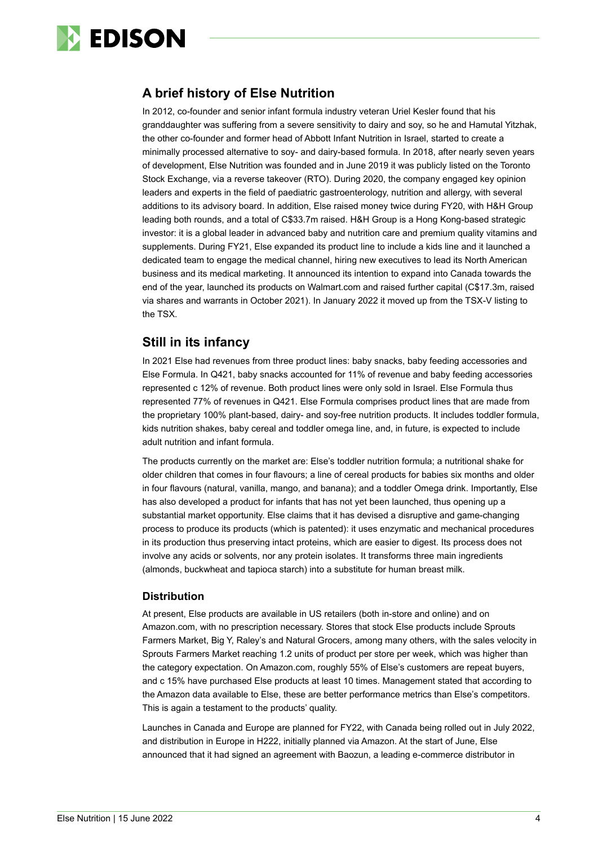

### **A brief history of Else Nutrition**

In 2012, co-founder and senior infant formula industry veteran Uriel Kesler found that his granddaughter was suffering from a severe sensitivity to dairy and soy, so he and Hamutal Yitzhak, the other co-founder and former head of Abbott Infant Nutrition in Israel, started to create a minimally processed alternative to soy- and dairy-based formula. In 2018, after nearly seven years of development, Else Nutrition was founded and in June 2019 it was publicly listed on the Toronto Stock Exchange, via a reverse takeover (RTO). During 2020, the company engaged key opinion leaders and experts in the field of paediatric gastroenterology, nutrition and allergy, with several additions to its advisory board. In addition, Else raised money twice during FY20, with H&H Group leading both rounds, and a total of C\$33.7m raised. H&H Group is a Hong Kong-based strategic investor: it is a global leader in advanced baby and nutrition care and premium quality vitamins and supplements. During FY21, Else expanded its product line to include a kids line and it launched a dedicated team to engage the medical channel, hiring new executives to lead its North American business and its medical marketing. It announced its intention to expand into Canada towards the end of the year, launched its products on Walmart.com and raised further capital (C\$17.3m, raised via shares and warrants in October 2021). In January 2022 it moved up from the TSX-V listing to the TSX.

### **Still in its infancy**

In 2021 Else had revenues from three product lines: baby snacks, baby feeding accessories and Else Formula. In Q421, baby snacks accounted for 11% of revenue and baby feeding accessories represented c 12% of revenue. Both product lines were only sold in Israel. Else Formula thus represented 77% of revenues in Q421. Else Formula comprises product lines that are made from the proprietary 100% plant-based, dairy- and soy-free nutrition products. It includes toddler formula, kids nutrition shakes, baby cereal and toddler omega line, and, in future, is expected to include adult nutrition and infant formula.

The products currently on the market are: Else's toddler nutrition formula; a nutritional shake for older children that comes in four flavours; a line of cereal products for babies six months and older in four flavours (natural, vanilla, mango, and banana); and a toddler Omega drink. Importantly, Else has also developed a product for infants that has not yet been launched, thus opening up a substantial market opportunity. Else claims that it has devised a disruptive and game-changing process to produce its products (which is patented): it uses enzymatic and mechanical procedures in its production thus preserving intact proteins, which are easier to digest. Its process does not involve any acids or solvents, nor any protein isolates. It transforms three main ingredients (almonds, buckwheat and tapioca starch) into a substitute for human breast milk.

#### **Distribution**

At present, Else products are available in US retailers (both in-store and online) and on Amazon.com, with no prescription necessary. Stores that stock Else products include Sprouts Farmers Market, Big Y, Raley's and Natural Grocers, among many others, with the sales velocity in Sprouts Farmers Market reaching 1.2 units of product per store per week, which was higher than the category expectation. On Amazon.com, roughly 55% of Else's customers are repeat buyers, and c 15% have purchased Else products at least 10 times. Management stated that according to the Amazon data available to Else, these are better performance metrics than Else's competitors. This is again a testament to the products' quality.

Launches in Canada and Europe are planned for FY22, with Canada being rolled out in July 2022, and distribution in Europe in H222, initially planned via Amazon. At the start of June, Else announced that it had signed an agreement with Baozun, a leading e-commerce distributor in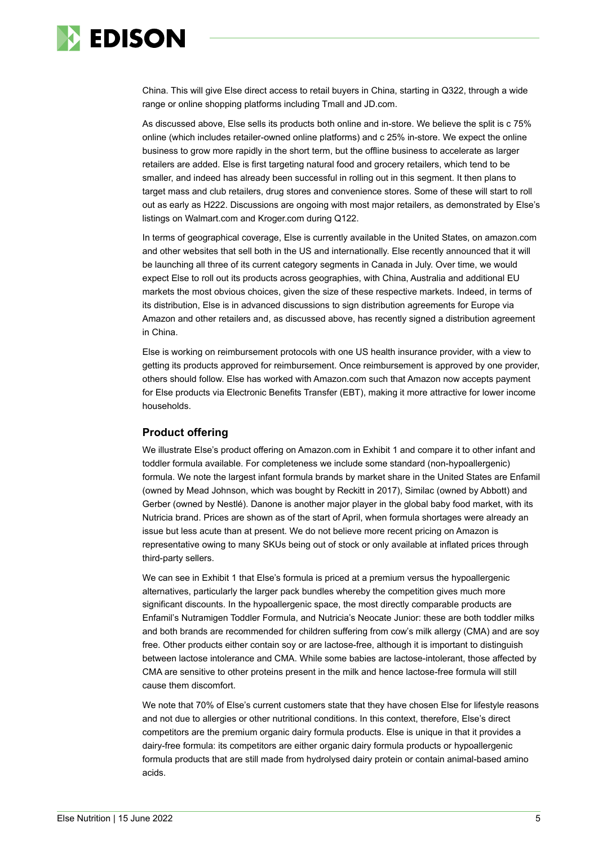

China. This will give Else direct access to retail buyers in China, starting in Q322, through a wide range or online shopping platforms including Tmall and JD.com.

As discussed above, Else sells its products both online and in-store. We believe the split is c 75% online (which includes retailer-owned online platforms) and c 25% in-store. We expect the online business to grow more rapidly in the short term, but the offline business to accelerate as larger retailers are added. Else is first targeting natural food and grocery retailers, which tend to be smaller, and indeed has already been successful in rolling out in this segment. It then plans to target mass and club retailers, drug stores and convenience stores. Some of these will start to roll out as early as H222. Discussions are ongoing with most major retailers, as demonstrated by Else's listings on Walmart.com and Kroger.com during Q122.

In terms of geographical coverage, Else is currently available in the United States, on amazon.com and other websites that sell both in the US and internationally. Else recently announced that it will be launching all three of its current category segments in Canada in July. Over time, we would expect Else to roll out its products across geographies, with China, Australia and additional EU markets the most obvious choices, given the size of these respective markets. Indeed, in terms of its distribution, Else is in advanced discussions to sign distribution agreements for Europe via Amazon and other retailers and, as discussed above, has recently signed a distribution agreement in China.

Else is working on reimbursement protocols with one US health insurance provider, with a view to getting its products approved for reimbursement. Once reimbursement is approved by one provider, others should follow. Else has worked with Amazon.com such that Amazon now accepts payment for Else products via Electronic Benefits Transfer (EBT), making it more attractive for lower income households.

#### **Product offering**

We illustrate Else's product offering on Amazon.com in Exhibit 1 and compare it to other infant and toddler formula available. For completeness we include some standard (non-hypoallergenic) formula. We note the largest infant formula brands by market share in the United States are Enfamil (owned by Mead Johnson, which was bought by Reckitt in 2017), Similac (owned by Abbott) and Gerber (owned by Nestlé). Danone is another major player in the global baby food market, with its Nutricia brand. Prices are shown as of the start of April, when formula shortages were already an issue but less acute than at present. We do not believe more recent pricing on Amazon is representative owing to many SKUs being out of stock or only available at inflated prices through third-party sellers.

We can see in Exhibit 1 that Else's formula is priced at a premium versus the hypoallergenic alternatives, particularly the larger pack bundles whereby the competition gives much more significant discounts. In the hypoallergenic space, the most directly comparable products are Enfamil's Nutramigen Toddler Formula, and Nutricia's Neocate Junior: these are both toddler milks and both brands are recommended for children suffering from cow's milk allergy (CMA) and are soy free. Other products either contain soy or are lactose-free, although it is important to distinguish between lactose intolerance and CMA. While some babies are lactose-intolerant, those affected by CMA are sensitive to other proteins present in the milk and hence lactose-free formula will still cause them discomfort.

We note that 70% of Else's current customers state that they have chosen Else for lifestyle reasons and not due to allergies or other nutritional conditions. In this context, therefore, Else's direct competitors are the premium organic dairy formula products. Else is unique in that it provides a dairy-free formula: its competitors are either organic dairy formula products or hypoallergenic formula products that are still made from hydrolysed dairy protein or contain animal-based amino acids.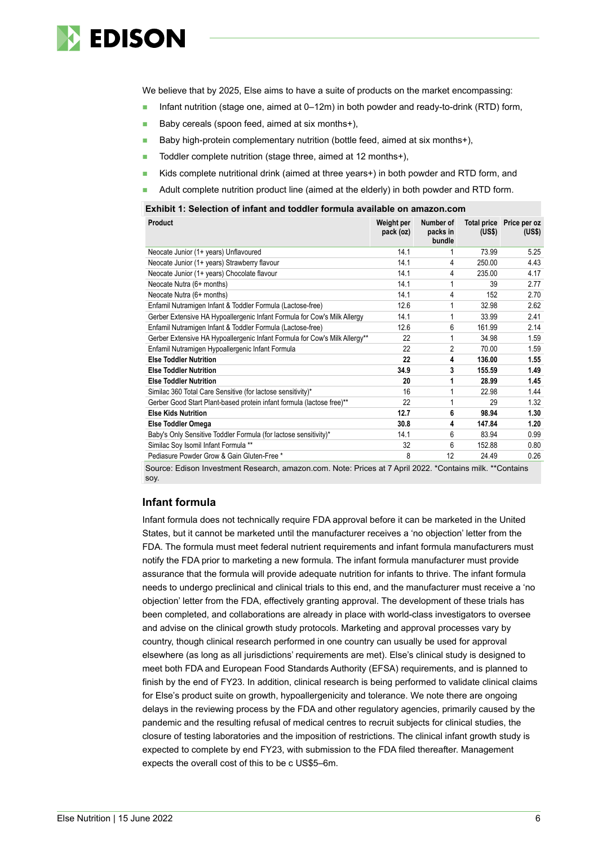

We believe that by 2025, Else aims to have a suite of products on the market encompassing:

- Infant nutrition (stage one, aimed at 0–12m) in both powder and ready-to-drink (RTD) form,
- Baby cereals (spoon feed, aimed at six months+),
- Baby high-protein complementary nutrition (bottle feed, aimed at six months+),
- Toddler complete nutrition (stage three, aimed at 12 months+),
- Kids complete nutritional drink (aimed at three years+) in both powder and RTD form, and
- Adult complete nutrition product line (aimed at the elderly) in both powder and RTD form.

#### **Exhibit 1: Selection of infant and toddler formula available on amazon.com**

| Product                                                                    | Weight per<br>pack (oz) | Number of<br>packs in<br>bundle | (US\$) | Total price Price per oz<br>(US\$) |
|----------------------------------------------------------------------------|-------------------------|---------------------------------|--------|------------------------------------|
| Neocate Junior (1+ years) Unflavoured                                      | 14.1                    |                                 | 73.99  | 5.25                               |
| Neocate Junior (1+ years) Strawberry flavour                               | 14.1                    | 4                               | 250.00 | 4.43                               |
| Neocate Junior (1+ years) Chocolate flavour                                | 14.1                    | 4                               | 235.00 | 4.17                               |
| Neocate Nutra (6+ months)                                                  | 14.1                    |                                 | 39     | 2.77                               |
| Neocate Nutra (6+ months)                                                  | 14.1                    | 4                               | 152    | 2.70                               |
| Enfamil Nutramigen Infant & Toddler Formula (Lactose-free)                 | 12.6                    |                                 | 32.98  | 2.62                               |
| Gerber Extensive HA Hypoallergenic Infant Formula for Cow's Milk Allergy   | 14.1                    |                                 | 33.99  | 2.41                               |
| Enfamil Nutramigen Infant & Toddler Formula (Lactose-free)                 | 12.6                    | 6                               | 161.99 | 2.14                               |
| Gerber Extensive HA Hypoallergenic Infant Formula for Cow's Milk Allergy** | 22                      |                                 | 34.98  | 1.59                               |
| Enfamil Nutramigen Hypoallergenic Infant Formula                           | 22                      | 2                               | 70.00  | 1.59                               |
| <b>Else Toddler Nutrition</b>                                              | 22                      | 4                               | 136.00 | 1.55                               |
| <b>Else Toddler Nutrition</b>                                              | 34.9                    | 3                               | 155.59 | 1.49                               |
| <b>Else Toddler Nutrition</b>                                              | 20                      | 1                               | 28.99  | 1.45                               |
| Similac 360 Total Care Sensitive (for lactose sensitivity)*                | 16                      | 1                               | 22.98  | 1.44                               |
| Gerber Good Start Plant-based protein infant formula (lactose free)**      | 22                      |                                 | 29     | 1.32                               |
| <b>Else Kids Nutrition</b>                                                 | 12.7                    | 6                               | 98.94  | 1.30                               |
| Else Toddler Omega                                                         | 30.8                    | 4                               | 147.84 | 1.20                               |
| Baby's Only Sensitive Toddler Formula (for lactose sensitivity)*           | 14.1                    | 6                               | 83.94  | 0.99                               |
| Similac Soy Isomil Infant Formula **                                       | 32                      | 6                               | 152.88 | 0.80                               |
| Pediasure Powder Grow & Gain Gluten-Free *                                 | 8                       | 12                              | 24.49  | 0.26                               |

Source: Edison Investment Research, amazon.com. Note: Prices at 7 April 2022. \*Contains milk. \*\*Contains soy.

#### **Infant formula**

Infant formula does not technically require FDA approval before it can be marketed in the United States, but it cannot be marketed until the manufacturer receives a 'no objection' letter from the FDA. The formula must meet federal nutrient requirements and infant formula manufacturers must notify the FDA prior to marketing a new formula. The infant formula manufacturer must provide assurance that the formula will provide adequate nutrition for infants to thrive. The infant formula needs to undergo preclinical and clinical trials to this end, and the manufacturer must receive a 'no objection' letter from the FDA, effectively granting approval. The development of these trials has been completed, and collaborations are already in place with world-class investigators to oversee and advise on the clinical growth study protocols. Marketing and approval processes vary by country, though clinical research performed in one country can usually be used for approval elsewhere (as long as all jurisdictions' requirements are met). Else's clinical study is designed to meet both FDA and European Food Standards Authority (EFSA) requirements, and is planned to finish by the end of FY23. In addition, clinical research is being performed to validate clinical claims for Else's product suite on growth, hypoallergenicity and tolerance. We note there are ongoing delays in the reviewing process by the FDA and other regulatory agencies, primarily caused by the pandemic and the resulting refusal of medical centres to recruit subjects for clinical studies, the closure of testing laboratories and the imposition of restrictions. The clinical infant growth study is expected to complete by end FY23, with submission to the FDA filed thereafter. Management expects the overall cost of this to be c US\$5–6m.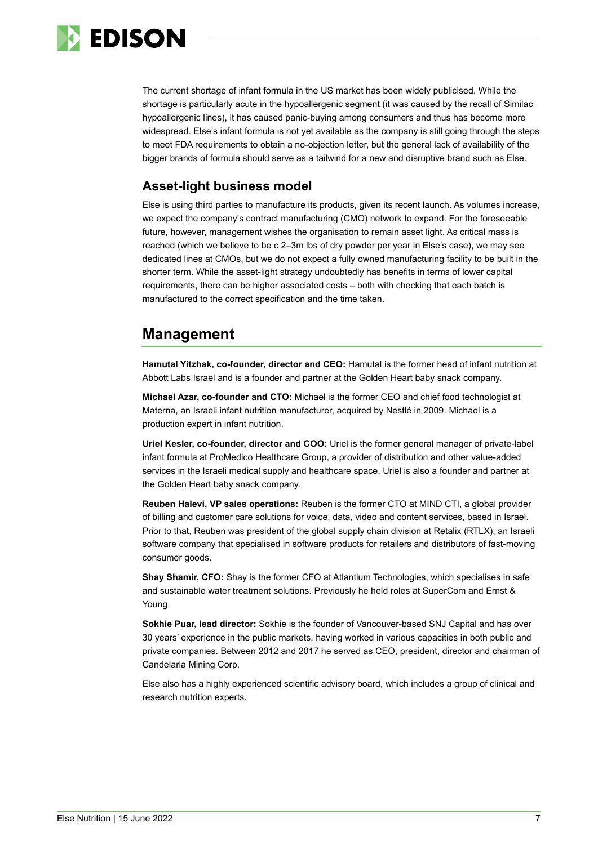

The current shortage of infant formula in the US market has been widely publicised. While the shortage is particularly acute in the hypoallergenic segment (it was caused by the recall of Similac hypoallergenic lines), it has caused panic-buying among consumers and thus has become more widespread. Else's infant formula is not yet available as the company is still going through the steps to meet FDA requirements to obtain a no-objection letter, but the general lack of availability of the bigger brands of formula should serve as a tailwind for a new and disruptive brand such as Else.

### **Asset-light business model**

Else is using third parties to manufacture its products, given its recent launch. As volumes increase, we expect the company's contract manufacturing (CMO) network to expand. For the foreseeable future, however, management wishes the organisation to remain asset light. As critical mass is reached (which we believe to be c 2–3m lbs of dry powder per year in Else's case), we may see dedicated lines at CMOs, but we do not expect a fully owned manufacturing facility to be built in the shorter term. While the asset-light strategy undoubtedly has benefits in terms of lower capital requirements, there can be higher associated costs – both with checking that each batch is manufactured to the correct specification and the time taken.

## **Management**

**Hamutal Yitzhak, co-founder, director and CEO:** Hamutal is the former head of infant nutrition at Abbott Labs Israel and is a founder and partner at the Golden Heart baby snack company.

**Michael Azar, co-founder and CTO:** Michael is the former CEO and chief food technologist at Materna, an Israeli infant nutrition manufacturer, acquired by Nestlé in 2009. Michael is a production expert in infant nutrition.

**Uriel Kesler, co-founder, director and COO:** Uriel is the former general manager of private-label infant formula at ProMedico Healthcare Group, a provider of distribution and other value-added services in the Israeli medical supply and healthcare space. Uriel is also a founder and partner at the Golden Heart baby snack company.

**Reuben Halevi, VP sales operations:** Reuben is the former CTO at MIND CTI, a global provider of billing and customer care solutions for voice, data, video and content services, based in Israel. Prior to that, Reuben was president of the global supply chain division at Retalix (RTLX), an Israeli software company that specialised in software products for retailers and distributors of fast-moving consumer goods.

**Shay Shamir, CFO:** Shay is the former CFO at Atlantium Technologies, which specialises in safe and sustainable water treatment solutions. Previously he held roles at SuperCom and Ernst & Young.

**Sokhie Puar, lead director:** Sokhie is the founder of Vancouver-based SNJ Capital and has over 30 years' experience in the public markets, having worked in various capacities in both public and private companies. Between 2012 and 2017 he served as CEO, president, director and chairman of Candelaria Mining Corp.

Else also has a highly experienced scientific advisory board, which includes a group of clinical and research nutrition experts.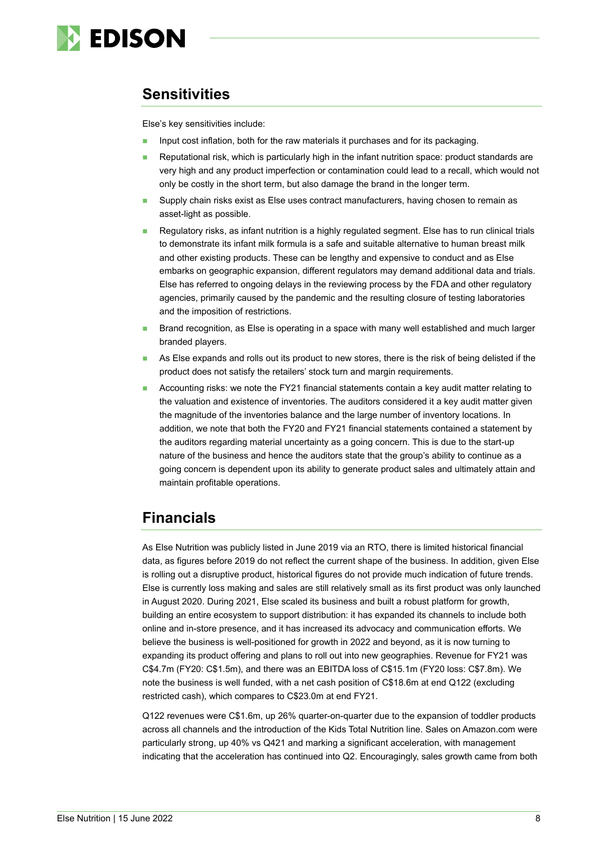

### **Sensitivities**

Else's key sensitivities include:

- Input cost inflation, both for the raw materials it purchases and for its packaging.
- Reputational risk, which is particularly high in the infant nutrition space: product standards are very high and any product imperfection or contamination could lead to a recall, which would not only be costly in the short term, but also damage the brand in the longer term.
- Supply chain risks exist as Else uses contract manufacturers, having chosen to remain as asset-light as possible.
- Regulatory risks, as infant nutrition is a highly regulated segment. Else has to run clinical trials to demonstrate its infant milk formula is a safe and suitable alternative to human breast milk and other existing products. These can be lengthy and expensive to conduct and as Else embarks on geographic expansion, different regulators may demand additional data and trials. Else has referred to ongoing delays in the reviewing process by the FDA and other regulatory agencies, primarily caused by the pandemic and the resulting closure of testing laboratories and the imposition of restrictions.
- Brand recognition, as Else is operating in a space with many well established and much larger branded players.
- As Else expands and rolls out its product to new stores, there is the risk of being delisted if the product does not satisfy the retailers' stock turn and margin requirements.
- Accounting risks: we note the FY21 financial statements contain a key audit matter relating to the valuation and existence of inventories. The auditors considered it a key audit matter given the magnitude of the inventories balance and the large number of inventory locations. In addition, we note that both the FY20 and FY21 financial statements contained a statement by the auditors regarding material uncertainty as a going concern. This is due to the start-up nature of the business and hence the auditors state that the group's ability to continue as a going concern is dependent upon its ability to generate product sales and ultimately attain and maintain profitable operations.

### **Financials**

As Else Nutrition was publicly listed in June 2019 via an RTO, there is limited historical financial data, as figures before 2019 do not reflect the current shape of the business. In addition, given Else is rolling out a disruptive product, historical figures do not provide much indication of future trends. Else is currently loss making and sales are still relatively small as its first product was only launched in August 2020. During 2021, Else scaled its business and built a robust platform for growth, building an entire ecosystem to support distribution: it has expanded its channels to include both online and in-store presence, and it has increased its advocacy and communication efforts. We believe the business is well-positioned for growth in 2022 and beyond, as it is now turning to expanding its product offering and plans to roll out into new geographies. Revenue for FY21 was C\$4.7m (FY20: C\$1.5m), and there was an EBITDA loss of C\$15.1m (FY20 loss: C\$7.8m). We note the business is well funded, with a net cash position of C\$18.6m at end Q122 (excluding restricted cash), which compares to C\$23.0m at end FY21.

Q122 revenues were C\$1.6m, up 26% quarter-on-quarter due to the expansion of toddler products across all channels and the introduction of the Kids Total Nutrition line. Sales on Amazon.com were particularly strong, up 40% vs Q421 and marking a significant acceleration, with management indicating that the acceleration has continued into Q2. Encouragingly, sales growth came from both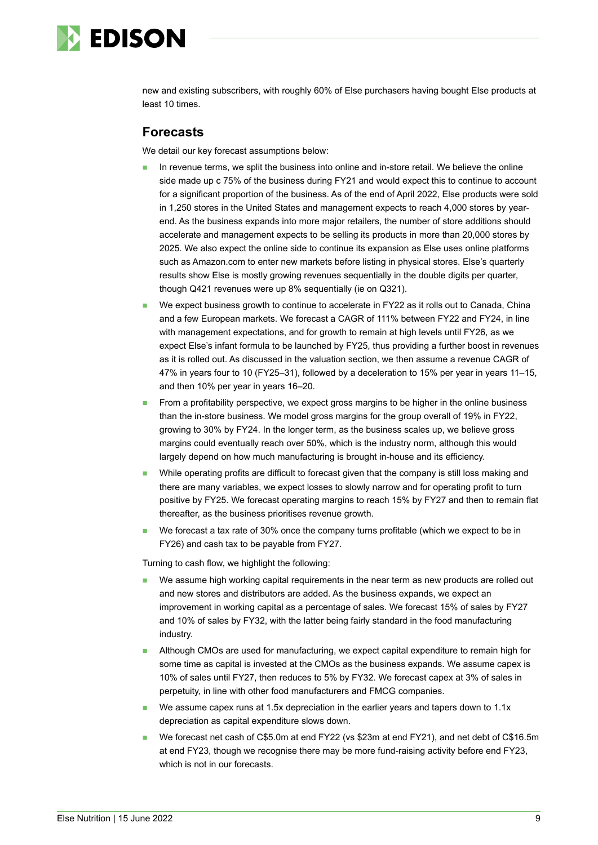

new and existing subscribers, with roughly 60% of Else purchasers having bought Else products at least 10 times.

#### **Forecasts**

We detail our key forecast assumptions below:

- In revenue terms, we split the business into online and in-store retail. We believe the online side made up c 75% of the business during FY21 and would expect this to continue to account for a significant proportion of the business. As of the end of April 2022, Else products were sold in 1,250 stores in the United States and management expects to reach 4,000 stores by yearend. As the business expands into more major retailers, the number of store additions should accelerate and management expects to be selling its products in more than 20,000 stores by 2025. We also expect the online side to continue its expansion as Else uses online platforms such as Amazon.com to enter new markets before listing in physical stores. Else's quarterly results show Else is mostly growing revenues sequentially in the double digits per quarter, though Q421 revenues were up 8% sequentially (ie on Q321).
- We expect business growth to continue to accelerate in FY22 as it rolls out to Canada, China and a few European markets. We forecast a CAGR of 111% between FY22 and FY24, in line with management expectations, and for growth to remain at high levels until FY26, as we expect Else's infant formula to be launched by FY25, thus providing a further boost in revenues as it is rolled out. As discussed in the valuation section, we then assume a revenue CAGR of 47% in years four to 10 (FY25–31), followed by a deceleration to 15% per year in years 11–15, and then 10% per year in years 16–20.
- ◼ From a profitability perspective, we expect gross margins to be higher in the online business than the in-store business. We model gross margins for the group overall of 19% in FY22, growing to 30% by FY24. In the longer term, as the business scales up, we believe gross margins could eventually reach over 50%, which is the industry norm, although this would largely depend on how much manufacturing is brought in-house and its efficiency.
- While operating profits are difficult to forecast given that the company is still loss making and there are many variables, we expect losses to slowly narrow and for operating profit to turn positive by FY25. We forecast operating margins to reach 15% by FY27 and then to remain flat thereafter, as the business prioritises revenue growth.
- We forecast a tax rate of 30% once the company turns profitable (which we expect to be in FY26) and cash tax to be payable from FY27.

Turning to cash flow, we highlight the following:

- We assume high working capital requirements in the near term as new products are rolled out and new stores and distributors are added. As the business expands, we expect an improvement in working capital as a percentage of sales. We forecast 15% of sales by FY27 and 10% of sales by FY32, with the latter being fairly standard in the food manufacturing industry.
- ◼ Although CMOs are used for manufacturing, we expect capital expenditure to remain high for some time as capital is invested at the CMOs as the business expands. We assume capex is 10% of sales until FY27, then reduces to 5% by FY32. We forecast capex at 3% of sales in perpetuity, in line with other food manufacturers and FMCG companies.
- We assume capex runs at 1.5x depreciation in the earlier years and tapers down to 1.1x depreciation as capital expenditure slows down.
- We forecast net cash of C\$5.0m at end FY22 (vs \$23m at end FY21), and net debt of C\$16.5m at end FY23, though we recognise there may be more fund-raising activity before end FY23, which is not in our forecasts.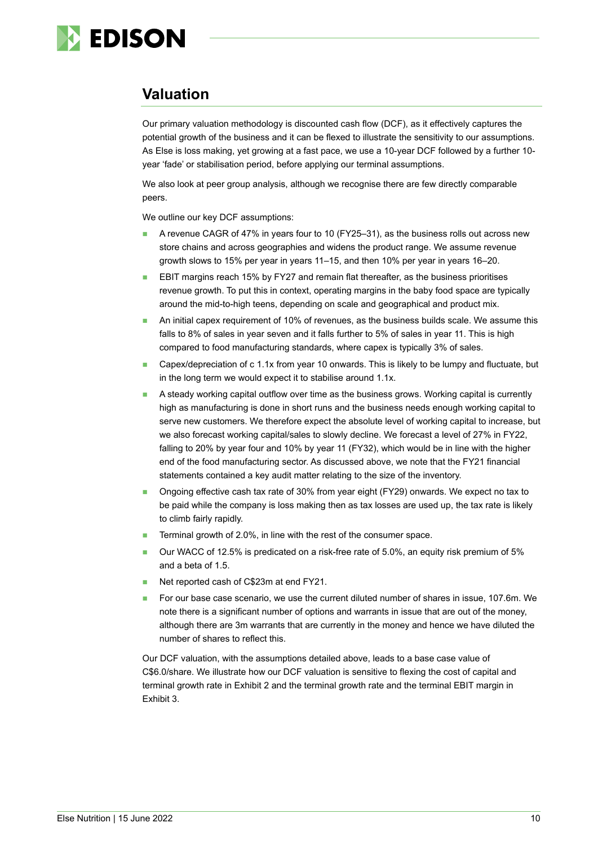

## **Valuation**

Our primary valuation methodology is discounted cash flow (DCF), as it effectively captures the potential growth of the business and it can be flexed to illustrate the sensitivity to our assumptions. As Else is loss making, yet growing at a fast pace, we use a 10-year DCF followed by a further 10 year 'fade' or stabilisation period, before applying our terminal assumptions.

We also look at peer group analysis, although we recognise there are few directly comparable peers.

We outline our key DCF assumptions:

- ◼ A revenue CAGR of 47% in years four to 10 (FY25–31), as the business rolls out across new store chains and across geographies and widens the product range. We assume revenue growth slows to 15% per year in years 11–15, and then 10% per year in years 16–20.
- EBIT margins reach 15% by FY27 and remain flat thereafter, as the business prioritises revenue growth. To put this in context, operating margins in the baby food space are typically around the mid-to-high teens, depending on scale and geographical and product mix.
- An initial capex requirement of 10% of revenues, as the business builds scale. We assume this falls to 8% of sales in year seven and it falls further to 5% of sales in year 11. This is high compared to food manufacturing standards, where capex is typically 3% of sales.
- Capex/depreciation of c 1.1x from year 10 onwards. This is likely to be lumpy and fluctuate, but in the long term we would expect it to stabilise around 1.1x.
- A steady working capital outflow over time as the business grows. Working capital is currently high as manufacturing is done in short runs and the business needs enough working capital to serve new customers. We therefore expect the absolute level of working capital to increase, but we also forecast working capital/sales to slowly decline. We forecast a level of 27% in FY22, falling to 20% by year four and 10% by year 11 (FY32), which would be in line with the higher end of the food manufacturing sector. As discussed above, we note that the FY21 financial statements contained a key audit matter relating to the size of the inventory.
- ◼ Ongoing effective cash tax rate of 30% from year eight (FY29) onwards. We expect no tax to be paid while the company is loss making then as tax losses are used up, the tax rate is likely to climb fairly rapidly.
- Terminal growth of 2.0%, in line with the rest of the consumer space.
- ◼ Our WACC of 12.5% is predicated on a risk-free rate of 5.0%, an equity risk premium of 5% and a beta of 1.5.
- Net reported cash of C\$23m at end FY21.
- For our base case scenario, we use the current diluted number of shares in issue, 107.6m. We note there is a significant number of options and warrants in issue that are out of the money, although there are 3m warrants that are currently in the money and hence we have diluted the number of shares to reflect this.

Our DCF valuation, with the assumptions detailed above, leads to a base case value of C\$6.0/share. We illustrate how our DCF valuation is sensitive to flexing the cost of capital and terminal growth rate in Exhibit 2 and the terminal growth rate and the terminal EBIT margin in Exhibit 3.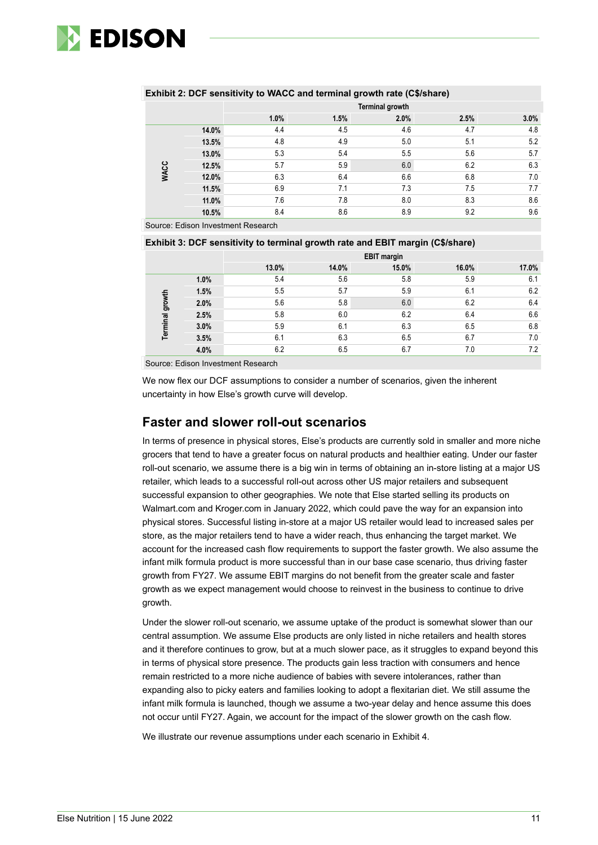

|             |       |                        |      | $\cdot$<br>$\sim$ | $\cdot$ |      |
|-------------|-------|------------------------|------|-------------------|---------|------|
|             |       | <b>Terminal growth</b> |      |                   |         |      |
|             |       | 1.0%                   | 1.5% | 2.0%              | 2.5%    | 3.0% |
|             | 14.0% | 4.4                    | 4.5  | 4.6               | 4.7     | 4.8  |
| <b>WACC</b> | 13.5% | 4.8                    | 4.9  | 5.0               | 5.1     | 5.2  |
|             | 13.0% | 5.3                    | 5.4  | 5.5               | 5.6     | 5.7  |
|             | 12.5% | 5.7                    | 5.9  | 6.0               | 6.2     | 6.3  |
|             | 12.0% | 6.3                    | 6.4  | 6.6               | 6.8     | 7.0  |
|             | 11.5% | 6.9                    | 7.1  | 7.3               | 7.5     | 7.7  |
|             | 11.0% | 7.6                    | 7.8  | 8.0               | 8.3     | 8.6  |
|             | 10.5% | 8.4                    | 8.6  | 8.9               | 9.2     | 9.6  |
|             |       |                        |      |                   |         |      |

#### **Exhibit 2: DCF sensitivity to WACC and terminal growth rate (C\$/share)**

Source: Edison Investment Research

#### **Exhibit 3: DCF sensitivity to terminal growth rate and EBIT margin (C\$/share)**

|          |      | <b>EBIT margin</b> |       |       |       |       |  |
|----------|------|--------------------|-------|-------|-------|-------|--|
|          |      | 13.0%              | 14.0% | 15.0% | 16.0% | 17.0% |  |
| growth   | 1.0% | 5.4                | 5.6   | 5.8   | 5.9   | 6.1   |  |
|          | 1.5% | 5.5                | 5.7   | 5.9   | 6.1   | 6.2   |  |
|          | 2.0% | 5.6                | 5.8   | 6.0   | 6.2   | 6.4   |  |
|          | 2.5% | 5.8                | 6.0   | 6.2   | 6.4   | 6.6   |  |
| Terminal | 3.0% | 5.9                | 6.1   | 6.3   | 6.5   | 6.8   |  |
|          | 3.5% | 6.1                | 6.3   | 6.5   | 6.7   | 7.0   |  |
|          | 4.0% | 6.2                | 6.5   | 6.7   | 7.0   | 7.2   |  |

Source: Edison Investment Research

We now flex our DCF assumptions to consider a number of scenarios, given the inherent uncertainty in how Else's growth curve will develop.

#### **Faster and slower roll-out scenarios**

In terms of presence in physical stores, Else's products are currently sold in smaller and more niche grocers that tend to have a greater focus on natural products and healthier eating. Under our faster roll-out scenario, we assume there is a big win in terms of obtaining an in-store listing at a major US retailer, which leads to a successful roll-out across other US major retailers and subsequent successful expansion to other geographies. We note that Else started selling its products on Walmart.com and Kroger.com in January 2022, which could pave the way for an expansion into physical stores. Successful listing in-store at a major US retailer would lead to increased sales per store, as the major retailers tend to have a wider reach, thus enhancing the target market. We account for the increased cash flow requirements to support the faster growth. We also assume the infant milk formula product is more successful than in our base case scenario, thus driving faster growth from FY27. We assume EBIT margins do not benefit from the greater scale and faster growth as we expect management would choose to reinvest in the business to continue to drive growth.

Under the slower roll-out scenario, we assume uptake of the product is somewhat slower than our central assumption. We assume Else products are only listed in niche retailers and health stores and it therefore continues to grow, but at a much slower pace, as it struggles to expand beyond this in terms of physical store presence. The products gain less traction with consumers and hence remain restricted to a more niche audience of babies with severe intolerances, rather than expanding also to picky eaters and families looking to adopt a flexitarian diet. We still assume the infant milk formula is launched, though we assume a two-year delay and hence assume this does not occur until FY27. Again, we account for the impact of the slower growth on the cash flow.

We illustrate our revenue assumptions under each scenario in Exhibit 4.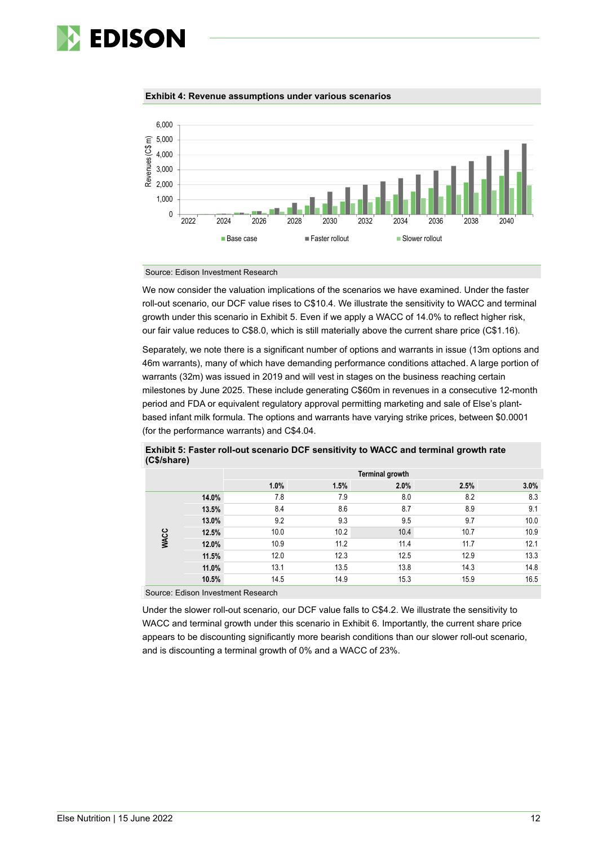

#### **Exhibit 4: Revenue assumptions under various scenarios**



#### Source: Edison Investment Research

We now consider the valuation implications of the scenarios we have examined. Under the faster roll-out scenario, our DCF value rises to C\$10.4. We illustrate the sensitivity to WACC and terminal growth under this scenario in Exhibit 5. Even if we apply a WACC of 14.0% to reflect higher risk, our fair value reduces to C\$8.0, which is still materially above the current share price (C\$1.16).

Separately, we note there is a significant number of options and warrants in issue (13m options and 46m warrants), many of which have demanding performance conditions attached. A large portion of warrants (32m) was issued in 2019 and will vest in stages on the business reaching certain milestones by June 2025. These include generating C\$60m in revenues in a consecutive 12-month period and FDA or equivalent regulatory approval permitting marketing and sale of Else's plantbased infant milk formula. The options and warrants have varying strike prices, between \$0.0001 (for the performance warrants) and C\$4.04.

|             |       | <b>Terminal growth</b> |      |      |      |      |  |
|-------------|-------|------------------------|------|------|------|------|--|
|             |       | 1.0%                   | 1.5% | 2.0% | 2.5% | 3.0% |  |
|             | 14.0% | 7.8                    | 7.9  | 8.0  | 8.2  | 8.3  |  |
| <b>WACC</b> | 13.5% | 8.4                    | 8.6  | 8.7  | 8.9  | 9.1  |  |
|             | 13.0% | 9.2                    | 9.3  | 9.5  | 9.7  | 10.0 |  |
|             | 12.5% | 10.0                   | 10.2 | 10.4 | 10.7 | 10.9 |  |
|             | 12.0% | 10.9                   | 11.2 | 11.4 | 11.7 | 12.1 |  |
|             | 11.5% | 12.0                   | 12.3 | 12.5 | 12.9 | 13.3 |  |
|             | 11.0% | 13.1                   | 13.5 | 13.8 | 14.3 | 14.8 |  |
|             | 10.5% | 14.5                   | 14.9 | 15.3 | 15.9 | 16.5 |  |

**Exhibit 5: Faster roll-out scenario DCF sensitivity to WACC and terminal growth rate (C\$/share)**

Source: Edison Investment Research

Under the slower roll-out scenario, our DCF value falls to C\$4.2. We illustrate the sensitivity to WACC and terminal growth under this scenario in Exhibit 6. Importantly, the current share price appears to be discounting significantly more bearish conditions than our slower roll-out scenario, and is discounting a terminal growth of 0% and a WACC of 23%.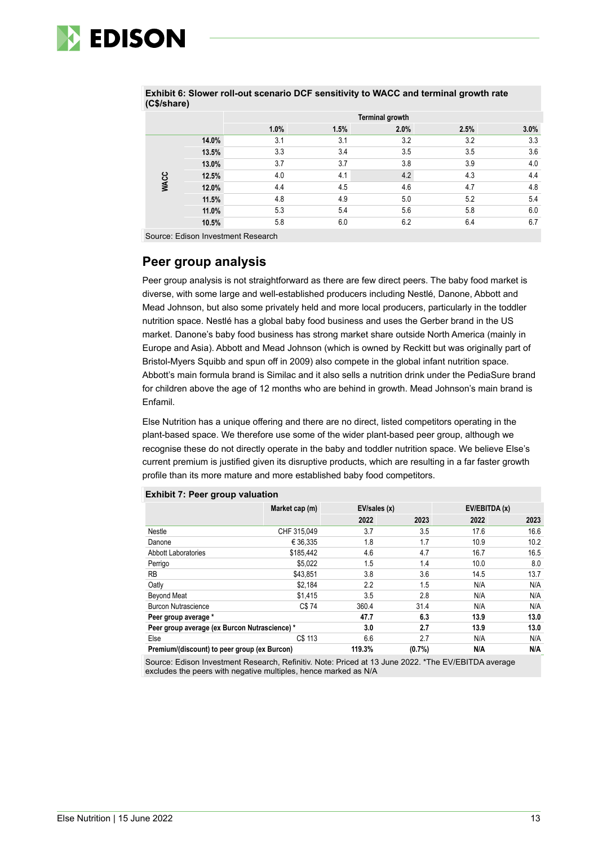

|             |       | <b>Terminal growth</b> |      |      |      |         |
|-------------|-------|------------------------|------|------|------|---------|
|             |       | 1.0%                   | 1.5% | 2.0% | 2.5% | $3.0\%$ |
|             | 14.0% | 3.1                    | 3.1  | 3.2  | 3.2  | 3.3     |
| <b>WACC</b> | 13.5% | 3.3                    | 3.4  | 3.5  | 3.5  | 3.6     |
|             | 13.0% | 3.7                    | 3.7  | 3.8  | 3.9  | 4.0     |
|             | 12.5% | 4.0                    | 4.1  | 4.2  | 4.3  | 4.4     |
|             | 12.0% | 4.4                    | 4.5  | 4.6  | 4.7  | 4.8     |
|             | 11.5% | 4.8                    | 4.9  | 5.0  | 5.2  | 5.4     |
|             | 11.0% | 5.3                    | 5.4  | 5.6  | 5.8  | 6.0     |
|             | 10.5% | 5.8                    | 6.0  | 6.2  | 6.4  | 6.7     |

**Exhibit 6: Slower roll-out scenario DCF sensitivity to WACC and terminal growth rate (C\$/share)**

Source: Edison Investment Research

### **Peer group analysis**

Peer group analysis is not straightforward as there are few direct peers. The baby food market is diverse, with some large and well-established producers including Nestlé, Danone, Abbott and Mead Johnson, but also some privately held and more local producers, particularly in the toddler nutrition space. Nestlé has a global baby food business and uses the Gerber brand in the US market. Danone's baby food business has strong market share outside North America (mainly in Europe and Asia). Abbott and Mead Johnson (which is owned by Reckitt but was originally part of Bristol-Myers Squibb and spun off in 2009) also compete in the global infant nutrition space. Abbott's main formula brand is Similac and it also sells a nutrition drink under the PediaSure brand for children above the age of 12 months who are behind in growth. Mead Johnson's main brand is Enfamil.

Else Nutrition has a unique offering and there are no direct, listed competitors operating in the plant-based space. We therefore use some of the wider plant-based peer group, although we recognise these do not directly operate in the baby and toddler nutrition space. We believe Else's current premium is justified given its disruptive products, which are resulting in a far faster growth profile than its more mature and more established baby food competitors.

|                                               | Market cap (m) | EV/sales (x) |       | EV/EBITDA (x) |      |
|-----------------------------------------------|----------------|--------------|-------|---------------|------|
|                                               |                | 2022         | 2023  | 2022          | 2023 |
| Nestle                                        | CHF 315,049    | 3.7          | 3.5   | 17.6          | 16.6 |
| Danone                                        | € 36.335       | 1.8          | 1.7   | 10.9          | 10.2 |
| <b>Abbott Laboratories</b>                    | \$185.442      | 4.6          | 4.7   | 16.7          | 16.5 |
| Perrigo                                       | \$5,022        | 1.5          | 1.4   | 10.0          | 8.0  |
| <b>RB</b>                                     | \$43.851       | 3.8          | 3.6   | 14.5          | 13.7 |
| Oatly                                         | \$2,184        | 2.2          | 1.5   | N/A           | N/A  |
| <b>Beyond Meat</b>                            | \$1,415        | 3.5          | 2.8   | N/A           | N/A  |
| <b>Burcon Nutrascience</b>                    | C\$74          | 360.4        | 31.4  | N/A           | N/A  |
| Peer group average *                          |                | 47.7         | 6.3   | 13.9          | 13.0 |
| Peer group average (ex Burcon Nutrascience) * |                | 3.0          | 2.7   | 13.9          | 13.0 |
| Else                                          | C\$ 113        | 6.6          | 2.7   | N/A           | N/A  |
| Premium/(discount) to peer group (ex Burcon)  |                | 119.3%       | (0.7% | N/A           | N/A  |

#### **Exhibit 7: Peer group valuation**

Source: Edison Investment Research, Refinitiv. Note: Priced at 13 June 2022. \*The EV/EBITDA average excludes the peers with negative multiples, hence marked as N/A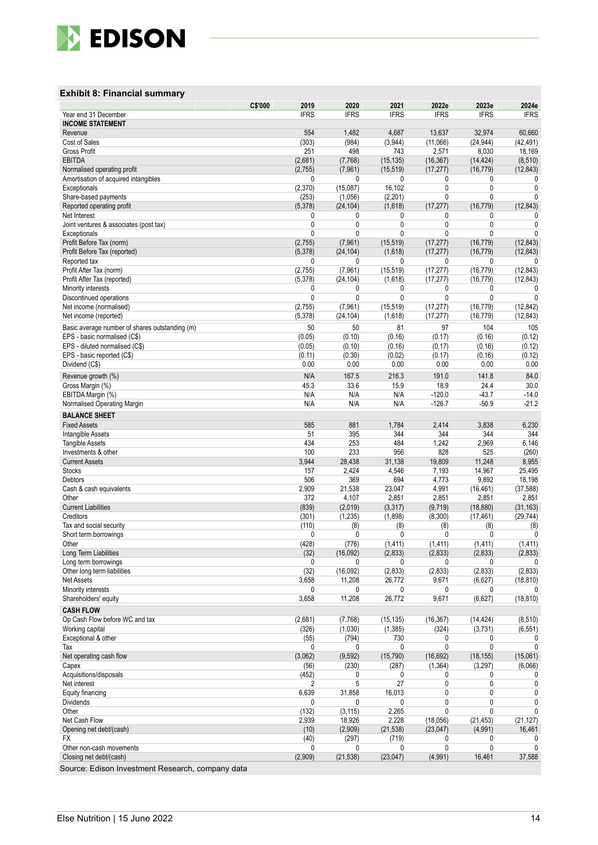

#### **Exhibit 8: Financial summary**

|                                                  | C\$'000        | 2019<br>2020                     | 2021                         | 2022e                     | 2023e                     | 2024e               |
|--------------------------------------------------|----------------|----------------------------------|------------------------------|---------------------------|---------------------------|---------------------|
| Year end 31 December                             | <b>IFRS</b>    | <b>IFRS</b>                      | <b>IFRS</b>                  | <b>IFRS</b>               | <b>IFRS</b>               | <b>IFRS</b>         |
| <b>INCOME STATEMENT</b>                          |                |                                  |                              |                           |                           |                     |
| Revenue                                          |                | 554<br>1,482                     | 4,687                        | 13,637                    | 32,974                    | 60,660              |
| Cost of Sales<br><b>Gross Profit</b>             | (303)          | (984)<br>251<br>498              | (3,944)<br>743               | (11,066)<br>2,571         | (24, 944)<br>8,030        | (42,491)<br>18,169  |
| <b>EBITDA</b>                                    | (2,681)        | (7,768)                          | (15, 135)                    | (16, 367)                 | (14, 424)                 | (8, 510)            |
| Normalised operating profit                      | (2,755)        | (7, 961)                         | (15, 519)                    | (17, 277)                 | (16, 779)                 | (12, 843)           |
| Amortisation of acquired intangibles             |                | 0                                | 0<br>0                       | 0                         | 0                         | 0                   |
| Exceptionals                                     | (2,370)        | (15,087)                         | 16,102                       | $\mathbf 0$               | 0                         | 0                   |
| Share-based payments                             | (253)          | (1,056)                          | (2,201)                      | 0                         | 0                         | 0                   |
| Reported operating profit                        | (5,378)        | (24, 104)                        | (1,618)                      | (17, 277)                 | (16, 779)                 | (12, 843)           |
| Net Interest                                     |                | 0                                | 0<br>0                       | 0                         | 0                         | 0                   |
| Joint ventures & associates (post tax)           |                | 0                                | 0<br>$\mathbf{0}$            | $\mathbf{0}$              | 0                         | 0                   |
| Exceptionals<br>Profit Before Tax (norm)         | (2,755)        | 0<br>(7,961)                     | 0<br>0<br>(15, 519)          | $\mathbf{0}$<br>(17, 277) | $\mathbf{0}$<br>(16, 779) | 0<br>(12, 843)      |
| Profit Before Tax (reported)                     | (5,378)        | (24, 104)                        | (1,618)                      | (17, 277)                 | (16, 779)                 | (12, 843)           |
| Reported tax                                     |                | 0                                | 0<br>0                       | 0                         | 0                         | 0                   |
| Profit After Tax (norm)                          | (2,755)        | (7,961)                          | (15, 519)                    | (17, 277)                 | (16, 779)                 | (12, 843)           |
| Profit After Tax (reported)                      | (5,378)        | (24, 104)                        | (1,618)                      | (17, 277)                 | (16, 779)                 | (12, 843)           |
| Minority interests                               |                | 0                                | 0<br>0                       | 0                         | 0                         | 0                   |
| Discontinued operations                          |                | 0                                | $\mathbf{0}$<br>$\mathbf{0}$ | $\mathbf{0}$              | $\mathbf{0}$              | 0                   |
| Net income (normalised)                          | (2,755)        | (7,961)                          | (15, 519)                    | (17, 277)                 | (16, 779)                 | (12, 842)           |
| Net income (reported)                            | (5,378)        | (24, 104)                        | (1,618)                      | (17, 277)                 | (16, 779)                 | (12, 843)           |
| Basic average number of shares outstanding (m)   |                | 50<br>50                         | 81                           | 97                        | 104                       | 105                 |
| EPS - basic normalised (C\$)                     | (0.05)         | (0.10)                           | (0.16)                       | (0.17)                    | (0.16)                    | (0.12)              |
| EPS - diluted normalised (C\$)                   | (0.05)         | (0.10)                           | (0.16)                       | (0.17)                    | (0.16)                    | (0.12)              |
| EPS - basic reported (C\$)                       | (0.11)         | (0.30)                           | (0.02)                       | (0.17)                    | (0.16)                    | (0.12)              |
| Dividend (C\$)                                   |                | 0.00<br>0.00                     | 0.00                         | 0.00                      | 0.00                      | 0.00                |
| Revenue growth (%)                               |                | N/A<br>167.5                     | 216.3                        | 191.0                     | 141.8                     | 84.0                |
| Gross Margin (%)                                 |                | 45.3<br>33.6                     | 15.9                         | 18.9                      | 24.4                      | 30.0                |
| EBITDA Margin (%)<br>Normalised Operating Margin |                | N/A<br>N/A<br>N/A<br>N/A         | N/A<br>N/A                   | $-120.0$<br>$-126.7$      | $-43.7$<br>$-50.9$        | $-14.0$<br>$-21.2$  |
|                                                  |                |                                  |                              |                           |                           |                     |
| <b>BALANCE SHEET</b>                             |                |                                  |                              |                           |                           |                     |
| <b>Fixed Assets</b>                              |                | 585<br>881<br>51<br>395          | 1,784<br>344                 | 2,414<br>344              | 3,838<br>344              | 6,230<br>344        |
| Intangible Assets<br><b>Tangible Assets</b>      |                | 434<br>253                       | 484                          | 1,242                     | 2,969                     | 6,146               |
| Investments & other                              |                | 100<br>233                       | 956                          | 828                       | 525                       | (260)               |
| <b>Current Assets</b>                            | 3,944          | 28,438                           | 31,138                       | 19,809                    | 11,248                    | 8,955               |
| <b>Stocks</b>                                    |                | 2,424<br>157                     | 4,546                        | 7,193                     | 14,967                    | 25,495              |
| <b>Debtors</b>                                   |                | 369<br>506                       | 694                          | 4,773                     | 9,892                     | 18,198              |
| Cash & cash equivalents                          | 2,909          | 21,538                           | 23,047                       | 4,991                     | (16, 461)                 | (37, 588)           |
| Other                                            |                | 372<br>4,107                     | 2,851                        | 2,851                     | 2,851                     | 2,851               |
| <b>Current Liabilities</b>                       | (839)          | (2,019)                          | (3, 317)                     | (9,719)                   | (18, 880)                 | (31, 163)           |
| Creditors<br>Tax and social security             | (301)<br>(110) | (1, 235)                         | (1,898)                      | (8,300)                   | (17, 461)                 | (29, 744)           |
| Short term borrowings                            |                | (8)<br>0                         | (8)<br>$\mathbf{0}$<br>0     | (8)<br>0                  | (8)<br>0                  | (8)<br>$\mathbf{0}$ |
| Other                                            | (428)          | (776)                            | (1, 411)                     | (1, 411)                  | (1, 411)                  | (1, 411)            |
| Long Term Liabilities                            |                | (32)<br>(16,092)                 | (2,833)                      | (2,833)                   | (2,833)                   | (2,833)             |
| Long term borrowings                             |                | 0                                | 0<br>0                       | 0                         | 0                         | 0                   |
| Other long term liabilities                      |                | (32)<br>(16,092)                 | (2, 833)                     | (2, 833)                  | (2,833)                   | (2, 833)            |
| <b>Net Assets</b>                                | 3,658          | 11,208                           | 26,772                       | 9,671                     | (6,627)                   | (18, 810)           |
| Minority interests                               |                | 0                                | 0<br>0                       | 0                         | 0                         | 0                   |
| Shareholders' equity                             | 3,658          | 11,208                           | 26,772                       | 9,671                     | (6,627)                   | (18, 810)           |
| <b>CASH FLOW</b>                                 |                |                                  |                              |                           |                           |                     |
| Op Cash Flow before WC and tax                   | (2,681)        | (7,768)                          | (15, 135)                    | (16, 367)                 | (14, 424)                 | (8, 510)            |
| Working capital                                  | (326)          | (1,030)                          | (1, 385)                     | (324)                     | (3,731)                   | (6, 551)            |
| Exceptional & other<br>Tax                       |                | (55)<br>(794)<br>0               | 730<br>0<br>0                | 0<br>0                    | 0<br>0                    | 0<br>0              |
| Net operating cash flow                          | (3,062)        | (9, 592)                         | (15, 790)                    | (16, 692)                 | (18, 155)                 | (15,061)            |
| Capex                                            |                | (56)<br>(230)                    | (287)                        | (1, 364)                  | (3, 297)                  | (6,066)             |
| Acquisitions/disposals                           | (452)          |                                  | 0<br>0                       | 0                         | 0                         | 0                   |
| Net interest                                     |                | 2                                | 5<br>27                      | 0                         | 0                         | 0                   |
| Equity financing                                 | 6,639          | 31,858                           | 16,013                       | $\mathbf 0$               | 0                         | 0                   |
| <b>Dividends</b>                                 |                | 0                                | 0<br>0                       | 0                         | 0                         | 0                   |
| Other                                            | (132)          | (3, 115)                         | 2,265                        | $\mathbf{0}$              | 0                         | 0                   |
| Net Cash Flow                                    | 2,939          | 18,926                           | 2,228                        | (18,056)                  | (21, 453)                 | (21, 127)           |
| Opening net debt/(cash)<br>FX                    |                | (10)<br>(2,909)<br>(40)<br>(297) | (21, 538)<br>(719)           | (23, 047)                 | (4,991)<br>0              | 16,461<br>0         |
| Other non-cash movements                         |                | 0                                | 0<br>0                       | 0<br>0                    | 0                         | 0                   |
| Closing net debt/(cash)                          | (2,909)        | (21, 538)                        | (23, 047)                    | (4,991)                   | 16,461                    | 37,588              |
|                                                  |                |                                  |                              |                           |                           |                     |

Source: Edison Investment Research, company data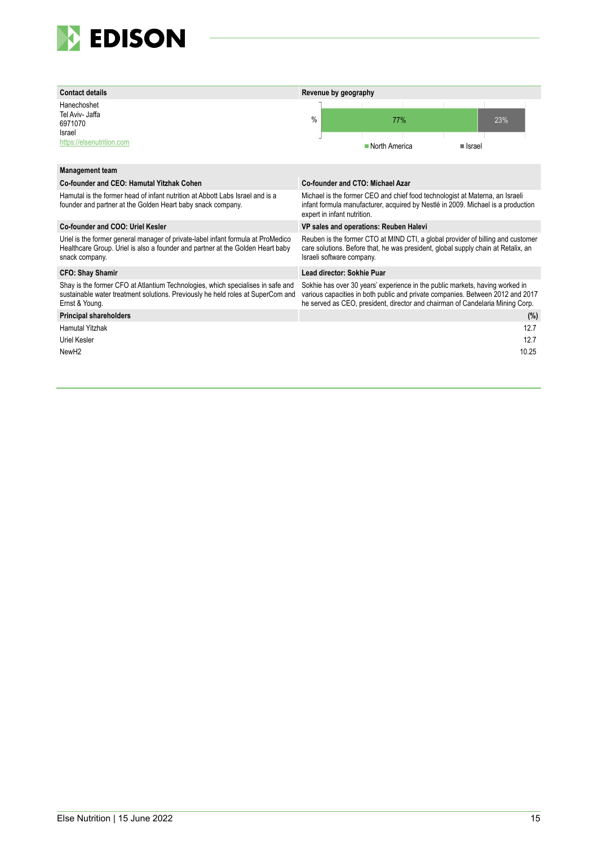

| <b>Contact details</b>                                                                                                                                                               | Revenue by geography                                                                                                                                                                                                                            |
|--------------------------------------------------------------------------------------------------------------------------------------------------------------------------------------|-------------------------------------------------------------------------------------------------------------------------------------------------------------------------------------------------------------------------------------------------|
| Hanechoshet<br>Tel Aviv- Jaffa<br>6971070<br>Israel<br>https://elsenutrition.com                                                                                                     | $\frac{0}{0}$<br>77%<br>23%<br>North America<br>■ Israel                                                                                                                                                                                        |
| <b>Management team</b>                                                                                                                                                               |                                                                                                                                                                                                                                                 |
| Co-founder and CEO: Hamutal Yitzhak Cohen                                                                                                                                            | Co-founder and CTO: Michael Azar                                                                                                                                                                                                                |
| Hamutal is the former head of infant nutrition at Abbott Labs Israel and is a<br>founder and partner at the Golden Heart baby snack company.                                         | Michael is the former CEO and chief food technologist at Materna, an Israeli<br>infant formula manufacturer, acquired by Nestlé in 2009. Michael is a production<br>expert in infant nutrition.                                                 |
| Co-founder and COO: Uriel Kesler                                                                                                                                                     | VP sales and operations: Reuben Halevi                                                                                                                                                                                                          |
| Uriel is the former general manager of private-label infant formula at ProMedico<br>Healthcare Group. Uriel is also a founder and partner at the Golden Heart baby<br>snack company. | Reuben is the former CTO at MIND CTI, a global provider of billing and customer<br>care solutions. Before that, he was president, global supply chain at Retalix, an<br>Israeli software company.                                               |
| <b>CFO: Shay Shamir</b>                                                                                                                                                              | Lead director: Sokhie Puar                                                                                                                                                                                                                      |
| Shay is the former CFO at Atlantium Technologies, which specialises in safe and<br>sustainable water treatment solutions. Previously he held roles at SuperCom and<br>Ernst & Young. | Sokhie has over 30 years' experience in the public markets, having worked in<br>various capacities in both public and private companies. Between 2012 and 2017<br>he served as CEO, president, director and chairman of Candelaria Mining Corp. |
| <b>Principal shareholders</b>                                                                                                                                                        | (%)                                                                                                                                                                                                                                             |
| <b>Hamutal Yitzhak</b>                                                                                                                                                               | 12.7                                                                                                                                                                                                                                            |
| Uriel Kesler                                                                                                                                                                         | 12.7                                                                                                                                                                                                                                            |
| New <sub>H2</sub>                                                                                                                                                                    | 10.25                                                                                                                                                                                                                                           |
|                                                                                                                                                                                      |                                                                                                                                                                                                                                                 |